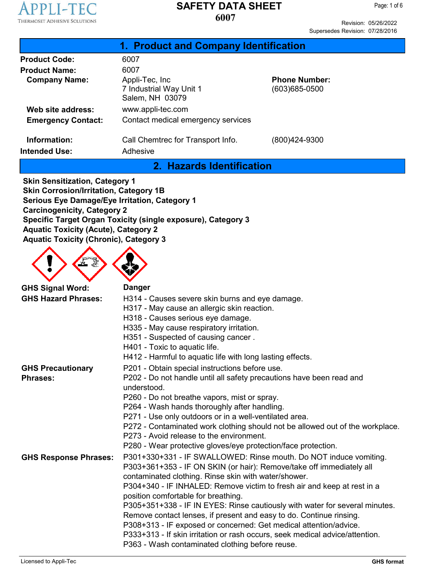

Revision: 05/26/2022 Supersedes Revision: 07/28/2016

| 1. Product and Company Identification                         |                                           |  |  |  |
|---------------------------------------------------------------|-------------------------------------------|--|--|--|
| 6007                                                          |                                           |  |  |  |
| 6007                                                          |                                           |  |  |  |
| Appli-Tec, Inc.<br>7 Industrial Way Unit 1<br>Salem, NH 03079 | <b>Phone Number:</b><br>$(603)685 - 0500$ |  |  |  |
| www.appli-tec.com                                             |                                           |  |  |  |
| Contact medical emergency services                            |                                           |  |  |  |
| Call Chemtrec for Transport Info.<br>Adhesive                 | (800)424-9300                             |  |  |  |
|                                                               |                                           |  |  |  |

#### **2. Hazards Identification**

**Skin Sensitization, Category 1 Skin Corrosion/Irritation, Category 1B Serious Eye Damage/Eye Irritation, Category 1 Carcinogenicity, Category 2 Specific Target Organ Toxicity (single exposure), Category 3 Aquatic Toxicity (Acute), Category 2 Aquatic Toxicity (Chronic), Category 3**



| <b>Danger</b>                                                                                                                                                                                                                                                                                                                                              |
|------------------------------------------------------------------------------------------------------------------------------------------------------------------------------------------------------------------------------------------------------------------------------------------------------------------------------------------------------------|
| H314 - Causes severe skin burns and eye damage.                                                                                                                                                                                                                                                                                                            |
| H317 - May cause an allergic skin reaction.                                                                                                                                                                                                                                                                                                                |
| H318 - Causes serious eye damage.                                                                                                                                                                                                                                                                                                                          |
| H335 - May cause respiratory irritation.                                                                                                                                                                                                                                                                                                                   |
| H351 - Suspected of causing cancer.                                                                                                                                                                                                                                                                                                                        |
| H401 - Toxic to aquatic life.                                                                                                                                                                                                                                                                                                                              |
| H412 - Harmful to aquatic life with long lasting effects.                                                                                                                                                                                                                                                                                                  |
| P201 - Obtain special instructions before use.                                                                                                                                                                                                                                                                                                             |
| P202 - Do not handle until all safety precautions have been read and<br>understood.                                                                                                                                                                                                                                                                        |
| P260 - Do not breathe vapors, mist or spray.                                                                                                                                                                                                                                                                                                               |
| P264 - Wash hands thoroughly after handling.                                                                                                                                                                                                                                                                                                               |
| P271 - Use only outdoors or in a well-ventilated area.                                                                                                                                                                                                                                                                                                     |
| P272 - Contaminated work clothing should not be allowed out of the workplace.<br>P273 - Avoid release to the environment.                                                                                                                                                                                                                                  |
| P280 - Wear protective gloves/eye protection/face protection.                                                                                                                                                                                                                                                                                              |
| P301+330+331 - IF SWALLOWED: Rinse mouth. Do NOT induce vomiting.<br>P303+361+353 - IF ON SKIN (or hair): Remove/take off immediately all<br>contaminated clothing. Rinse skin with water/shower.                                                                                                                                                          |
| P304+340 - IF INHALED: Remove victim to fresh air and keep at rest in a<br>position comfortable for breathing.                                                                                                                                                                                                                                             |
| P305+351+338 - IF IN EYES: Rinse cautiously with water for several minutes.<br>Remove contact lenses, if present and easy to do. Continue rinsing.<br>P308+313 - IF exposed or concerned: Get medical attention/advice.<br>P333+313 - If skin irritation or rash occurs, seek medical advice/attention.<br>P363 - Wash contaminated clothing before reuse. |
|                                                                                                                                                                                                                                                                                                                                                            |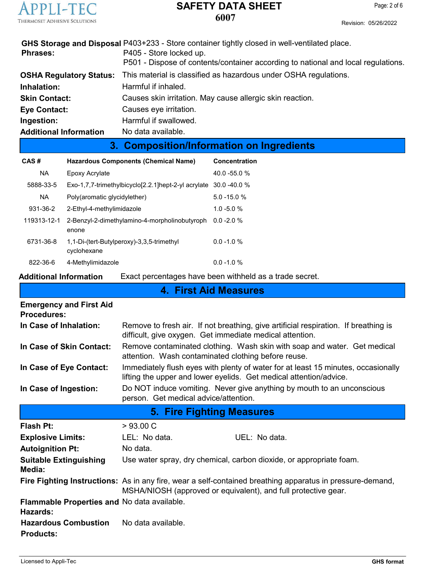

|                               | 3. Composition/Information on Ingredients                                                       |
|-------------------------------|-------------------------------------------------------------------------------------------------|
| <b>Additional Information</b> | No data available.                                                                              |
| Ingestion:                    | Harmful if swallowed.                                                                           |
| <b>Eye Contact:</b>           | Causes eye irritation.                                                                          |
| <b>Skin Contact:</b>          | Causes skin irritation. May cause allergic skin reaction.                                       |
| Inhalation:                   | Harmful if inhaled.                                                                             |
|                               | <b>OSHA Regulatory Status:</b> This material is classified as hazardous under OSHA regulations. |
|                               | P501 - Dispose of contents/container according to national and local regulations.               |
| <b>Phrases:</b>               | P405 - Store locked up.                                                                         |
|                               | GHS Storage and Disposal P403+233 - Store container tightly closed in well-ventilated place.    |

| CAS#        | <b>Hazardous Components (Chemical Name)</b>                      | Concentration   |
|-------------|------------------------------------------------------------------|-----------------|
| <b>NA</b>   | Epoxy Acrylate                                                   | $40.0 - 55.0 %$ |
| 5888-33-5   | Exo-1,7,7-trimethylbicyclo[2.2.1]hept-2-yl acrylate 30.0 -40.0 % |                 |
| <b>NA</b>   | Poly(aromatic glycidylether)                                     | $5.0 - 15.0 %$  |
| 931-36-2    | 2-Ethyl-4-methylimidazole                                        | $1.0 - 5.0 %$   |
| 119313-12-1 | 2-Benzyl-2-dimethylamino-4-morpholinobutyroph<br>enone           | $0.0 - 2.0 %$   |
| 6731-36-8   | 1,1-Di-(tert-Butylperoxy)-3,3,5-trimethyl<br>cyclohexane         | $0.0 - 1.0 %$   |
| 822-36-6    | 4-Methylimidazole                                                | $0.0 - 1.0 %$   |

# **Additional Information** Exact percentages have been withheld as a trade secret.

**4. First Aid Measures**

| <b>Emergency and First Aid</b><br><b>Procedures:</b>    |                                                                                                                                                                             |  |  |  |
|---------------------------------------------------------|-----------------------------------------------------------------------------------------------------------------------------------------------------------------------------|--|--|--|
| In Case of Inhalation:                                  | Remove to fresh air. If not breathing, give artificial respiration. If breathing is<br>difficult, give oxygen. Get immediate medical attention.                             |  |  |  |
| In Case of Skin Contact:                                | Remove contaminated clothing. Wash skin with soap and water. Get medical<br>attention. Wash contaminated clothing before reuse.                                             |  |  |  |
| In Case of Eye Contact:                                 | Immediately flush eyes with plenty of water for at least 15 minutes, occasionally<br>lifting the upper and lower eyelids. Get medical attention/advice.                     |  |  |  |
| In Case of Ingestion:                                   | Do NOT induce vomiting. Never give anything by mouth to an unconscious<br>person. Get medical advice/attention.                                                             |  |  |  |
|                                                         | 5. Fire Fighting Measures                                                                                                                                                   |  |  |  |
| <b>Flash Pt:</b>                                        | >93.00 C                                                                                                                                                                    |  |  |  |
| <b>Explosive Limits:</b>                                | UEL: No data.<br>LEL: No data.                                                                                                                                              |  |  |  |
| <b>Autoignition Pt:</b>                                 | No data.                                                                                                                                                                    |  |  |  |
| <b>Suitable Extinguishing</b><br>Media:                 | Use water spray, dry chemical, carbon dioxide, or appropriate foam.                                                                                                         |  |  |  |
|                                                         | Fire Fighting Instructions: As in any fire, wear a self-contained breathing apparatus in pressure-demand,<br>MSHA/NIOSH (approved or equivalent), and full protective gear. |  |  |  |
| Flammable Properties and No data available.<br>Hazards: |                                                                                                                                                                             |  |  |  |
| <b>Hazardous Combustion</b><br><b>Products:</b>         | No data available.                                                                                                                                                          |  |  |  |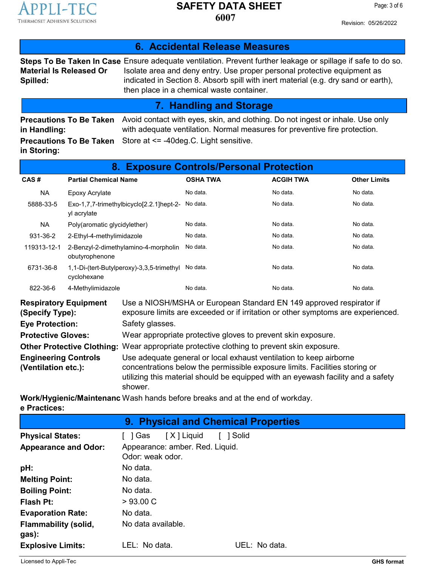

Revision: 05/26/2022

|                                                | 6. Accidental Release Measures                                                                                                                                                                                                                                                                                              |  |  |
|------------------------------------------------|-----------------------------------------------------------------------------------------------------------------------------------------------------------------------------------------------------------------------------------------------------------------------------------------------------------------------------|--|--|
| <b>Material Is Released Or</b><br>Spilled:     | Steps To Be Taken In Case Ensure adequate ventilation. Prevent further leakage or spillage if safe to do so.<br>Isolate area and deny entry. Use proper personal protective equipment as<br>indicated in Section 8. Absorb spill with inert material (e.g. dry sand or earth),<br>then place in a chemical waste container. |  |  |
| 7. Handling and Storage                        |                                                                                                                                                                                                                                                                                                                             |  |  |
| <b>Precautions To Be Taken</b><br>in Handling: | Avoid contact with eyes, skin, and clothing. Do not ingest or inhale. Use only<br>with adequate ventilation. Normal measures for preventive fire protection.                                                                                                                                                                |  |  |
| <b>Precautions To Be Taken</b><br>in Storing:  | Store at <= -40deg.C. Light sensitive.                                                                                                                                                                                                                                                                                      |  |  |

| <b>Exposure Controls/Personal Protection</b><br>8.                                                                                                                                                         |                                                                  |  |                 |                  |                     |
|------------------------------------------------------------------------------------------------------------------------------------------------------------------------------------------------------------|------------------------------------------------------------------|--|-----------------|------------------|---------------------|
| CAS#                                                                                                                                                                                                       | <b>Partial Chemical Name</b>                                     |  | <b>OSHA TWA</b> | <b>ACGIH TWA</b> | <b>Other Limits</b> |
| NA                                                                                                                                                                                                         | Epoxy Acrylate                                                   |  | No data.        | No data.         | No data.            |
| 5888-33-5                                                                                                                                                                                                  | Exo-1,7,7-trimethylbicyclo[2.2.1]hept-2- No data.<br>yl acrylate |  |                 | No data.         | No data.            |
| NA.                                                                                                                                                                                                        | Poly(aromatic glycidylether)                                     |  | No data.        | No data.         | No data.            |
| 931-36-2                                                                                                                                                                                                   | 2-Ethyl-4-methylimidazole                                        |  | No data.        | No data.         | No data.            |
| 119313-12-1                                                                                                                                                                                                | 2-Benzyl-2-dimethylamino-4-morpholin<br>obutyrophenone           |  | No data.        | No data.         | No data.            |
| 6731-36-8                                                                                                                                                                                                  | 1,1-Di-(tert-Butylperoxy)-3,3,5-trimethyl<br>cyclohexane         |  | No data.        | No data.         | No data.            |
| 822-36-6                                                                                                                                                                                                   | 4-Methylimidazole                                                |  | No data.        | No data.         | No data.            |
| Use a NIOSH/MSHA or European Standard EN 149 approved respirator if<br><b>Respiratory Equipment</b><br>exposure limits are exceeded or if irritation or other symptoms are experienced.<br>(Specify Type): |                                                                  |  |                 |                  |                     |

| (Specity Type):                                    | exposure limits are exceeded or if irritation or other symptoms are experienced.                                                                                                                                                                 |
|----------------------------------------------------|--------------------------------------------------------------------------------------------------------------------------------------------------------------------------------------------------------------------------------------------------|
| <b>Eye Protection:</b>                             | Safety glasses.                                                                                                                                                                                                                                  |
| <b>Protective Gloves:</b>                          | Wear appropriate protective gloves to prevent skin exposure.                                                                                                                                                                                     |
|                                                    | Other Protective Clothing: Wear appropriate protective clothing to prevent skin exposure.                                                                                                                                                        |
| <b>Engineering Controls</b><br>(Ventilation etc.): | Use adequate general or local exhaust ventilation to keep airborne<br>concentrations below the permissible exposure limits. Facilities storing or<br>utilizing this material should be equipped with an eyewash facility and a safety<br>shower. |

**Work/Hygienic/Maintenanc** Wash hands before breaks and at the end of workday. **e Practices:**

| <b>9. Physical and Chemical Properties</b> |                                                     |               |  |  |
|--------------------------------------------|-----------------------------------------------------|---------------|--|--|
| <b>Physical States:</b>                    | [X] Liquid<br>[ ]Gas                                | Solid         |  |  |
| <b>Appearance and Odor:</b>                | Appearance: amber. Red. Liquid.<br>Odor: weak odor. |               |  |  |
| pH:                                        | No data.                                            |               |  |  |
| <b>Melting Point:</b>                      | No data.                                            |               |  |  |
| <b>Boiling Point:</b>                      | No data.                                            |               |  |  |
| <b>Flash Pt:</b>                           | $>93.00 \text{ C}$                                  |               |  |  |
| <b>Evaporation Rate:</b>                   | No data.                                            |               |  |  |
| <b>Flammability (solid,</b><br>gas):       | No data available.                                  |               |  |  |
| <b>Explosive Limits:</b>                   | LEL: No data.                                       | UEL: No data. |  |  |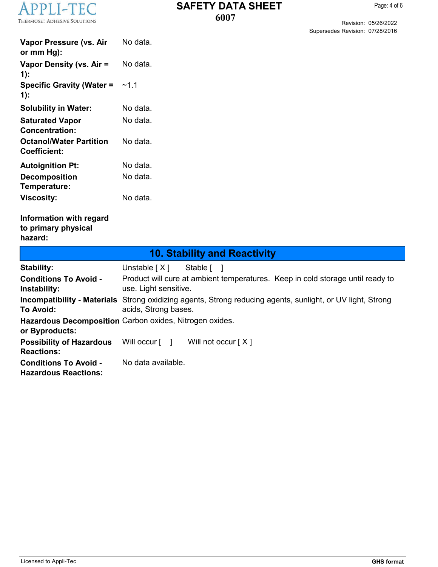

 $\mathbf{I}$ 

Revision: 05/26/2022 Supersedes Revision: 07/28/2016

| Vapor Pressure (vs. Air<br>or $mm Hg$ :               | No data.  |
|-------------------------------------------------------|-----------|
| Vapor Density (vs. Air =<br>1):                       | No data.  |
| <b>Specific Gravity (Water =</b><br>$1)$ :            | ~1 1      |
| <b>Solubility in Water:</b>                           | No data.  |
| <b>Saturated Vapor</b><br><b>Concentration:</b>       | No data l |
| <b>Octanol/Water Partition</b><br><b>Coefficient:</b> | No data.  |
| <b>Autoignition Pt:</b>                               | No data.  |
| <b>Decomposition</b><br>Temperature:                  | No data.  |
| <b>Viscosity:</b>                                     | No data.  |

#### **Information with regard to primary physical hazard:**

| <b>10. Stability and Reactivity</b>                         |                                                                                                                                    |  |  |  |
|-------------------------------------------------------------|------------------------------------------------------------------------------------------------------------------------------------|--|--|--|
| Stability:                                                  | Unstable $[X]$<br>Stable [ ]                                                                                                       |  |  |  |
| <b>Conditions To Avoid -</b><br>Instability:                | Product will cure at ambient temperatures. Keep in cold storage until ready to<br>use. Light sensitive.                            |  |  |  |
| To Avoid:                                                   | Incompatibility - Materials Strong oxidizing agents, Strong reducing agents, sunlight, or UV light, Strong<br>acids, Strong bases. |  |  |  |
| or Byproducts:                                              | Hazardous Decomposition Carbon oxides, Nitrogen oxides.                                                                            |  |  |  |
| <b>Possibility of Hazardous</b><br><b>Reactions:</b>        | Will occur $\lceil \quad \rceil$<br>Will not occur $[X]$                                                                           |  |  |  |
| <b>Conditions To Avoid -</b><br><b>Hazardous Reactions:</b> | No data available.                                                                                                                 |  |  |  |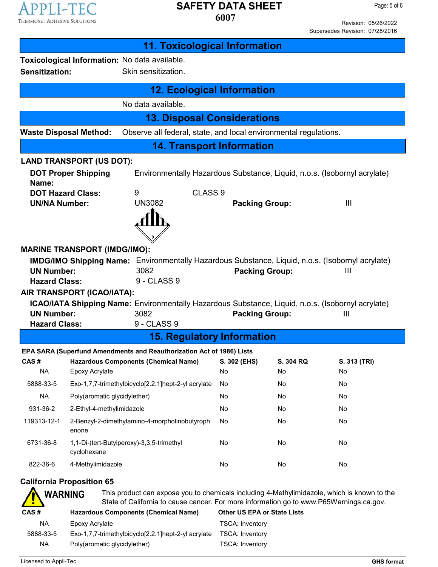

Page: 5 of 6

Revision: 05/26/2022 Supersedes Revision: 07/28/2016

| <b>11. Toxicological Information</b>                                              |                                                                          |                                                                                                                                                                                        |                                    |           |                |  |
|-----------------------------------------------------------------------------------|--------------------------------------------------------------------------|----------------------------------------------------------------------------------------------------------------------------------------------------------------------------------------|------------------------------------|-----------|----------------|--|
|                                                                                   |                                                                          | Toxicological Information: No data available.                                                                                                                                          |                                    |           |                |  |
|                                                                                   | Sensitization:<br>Skin sensitization.                                    |                                                                                                                                                                                        |                                    |           |                |  |
|                                                                                   |                                                                          | <b>12. Ecological Information</b>                                                                                                                                                      |                                    |           |                |  |
|                                                                                   |                                                                          | No data available.                                                                                                                                                                     |                                    |           |                |  |
|                                                                                   |                                                                          | <b>13. Disposal Considerations</b>                                                                                                                                                     |                                    |           |                |  |
| <b>Waste Disposal Method:</b>                                                     |                                                                          | Observe all federal, state, and local environmental regulations.                                                                                                                       |                                    |           |                |  |
|                                                                                   |                                                                          | <b>14. Transport Information</b>                                                                                                                                                       |                                    |           |                |  |
| <b>LAND TRANSPORT (US DOT):</b>                                                   |                                                                          |                                                                                                                                                                                        |                                    |           |                |  |
| <b>DOT Proper Shipping</b><br>Name:                                               |                                                                          | Environmentally Hazardous Substance, Liquid, n.o.s. (Isobornyl acrylate)                                                                                                               |                                    |           |                |  |
| <b>DOT Hazard Class:</b>                                                          |                                                                          | CLASS <sub>9</sub><br>9                                                                                                                                                                |                                    |           |                |  |
| <b>UN/NA Number:</b>                                                              |                                                                          | <b>UN3082</b>                                                                                                                                                                          | <b>Packing Group:</b>              |           | $\mathbf{III}$ |  |
|                                                                                   |                                                                          |                                                                                                                                                                                        |                                    |           |                |  |
|                                                                                   |                                                                          |                                                                                                                                                                                        |                                    |           |                |  |
|                                                                                   |                                                                          | <b>MARINE TRANSPORT (IMDG/IMO):</b>                                                                                                                                                    |                                    |           |                |  |
|                                                                                   |                                                                          | <b>IMDG/IMO Shipping Name:</b> Environmentally Hazardous Substance, Liquid, n.o.s. (Isobornyl acrylate)                                                                                |                                    |           |                |  |
| <b>UN Number:</b><br><b>Hazard Class:</b>                                         |                                                                          | 3082<br>9 - CLASS 9                                                                                                                                                                    | <b>Packing Group:</b>              |           | $\mathbf{III}$ |  |
| AIR TRANSPORT (ICAO/IATA):                                                        |                                                                          |                                                                                                                                                                                        |                                    |           |                |  |
|                                                                                   |                                                                          | <b>ICAO/IATA Shipping Name:</b> Environmentally Hazardous Substance, Liquid, n.o.s. (Isobornyl acrylate)                                                                               |                                    |           |                |  |
| <b>UN Number:</b>                                                                 |                                                                          | 3082                                                                                                                                                                                   | <b>Packing Group:</b>              |           | $\mathbf{III}$ |  |
| <b>Hazard Class:</b>                                                              |                                                                          | 9 - CLASS 9                                                                                                                                                                            |                                    |           |                |  |
|                                                                                   |                                                                          | <b>15. Regulatory Information</b>                                                                                                                                                      |                                    |           |                |  |
|                                                                                   |                                                                          | EPA SARA (Superfund Amendments and Reauthorization Act of 1986) Lists                                                                                                                  |                                    |           |                |  |
| CAS#                                                                              |                                                                          | Hazardous Components (Chemical Name) S. 302 (EHS)                                                                                                                                      |                                    | S. 304 RQ | S. 313 (TRI)   |  |
| <b>NA</b>                                                                         | Epoxy Acrylate                                                           |                                                                                                                                                                                        | No.                                | No.       | No             |  |
| 5888-33-5                                                                         |                                                                          | Exo-1,7,7-trimethylbicyclo[2.2.1]hept-2-yl acrylate                                                                                                                                    | No                                 | No        | No             |  |
| <b>NA</b>                                                                         |                                                                          | Poly(aromatic glycidylether)                                                                                                                                                           | No                                 | No        | No             |  |
| 931-36-2                                                                          |                                                                          | 2-Ethyl-4-methylimidazole                                                                                                                                                              | No                                 | No        | No             |  |
| 119313-12-1                                                                       | 2-Benzyl-2-dimethylamino-4-morpholinobutyroph<br>No<br>No<br>No<br>enone |                                                                                                                                                                                        |                                    |           |                |  |
| 6731-36-8<br>1,1-Di-(tert-Butylperoxy)-3,3,5-trimethyl<br>No<br>No<br>cyclohexane |                                                                          |                                                                                                                                                                                        |                                    | No        |                |  |
| 822-36-6<br>4-Methylimidazole                                                     |                                                                          |                                                                                                                                                                                        | No                                 | No        | No             |  |
| <b>California Proposition 65</b>                                                  |                                                                          |                                                                                                                                                                                        |                                    |           |                |  |
| <b>WARNING</b>                                                                    |                                                                          | This product can expose you to chemicals including 4-Methylimidazole, which is known to the<br>State of California to cause cancer. For more information go to www.P65Warnings.ca.gov. |                                    |           |                |  |
| CAS#                                                                              |                                                                          | <b>Hazardous Components (Chemical Name)</b>                                                                                                                                            | <b>Other US EPA or State Lists</b> |           |                |  |
| <b>NA</b>                                                                         | Epoxy Acrylate                                                           |                                                                                                                                                                                        | <b>TSCA: Inventory</b>             |           |                |  |
| 5888-33-5                                                                         |                                                                          | Exo-1,7,7-trimethylbicyclo[2.2.1]hept-2-yl acrylate                                                                                                                                    | <b>TSCA: Inventory</b>             |           |                |  |
| <b>NA</b>                                                                         |                                                                          | Poly(aromatic glycidylether)                                                                                                                                                           | <b>TSCA: Inventory</b>             |           |                |  |